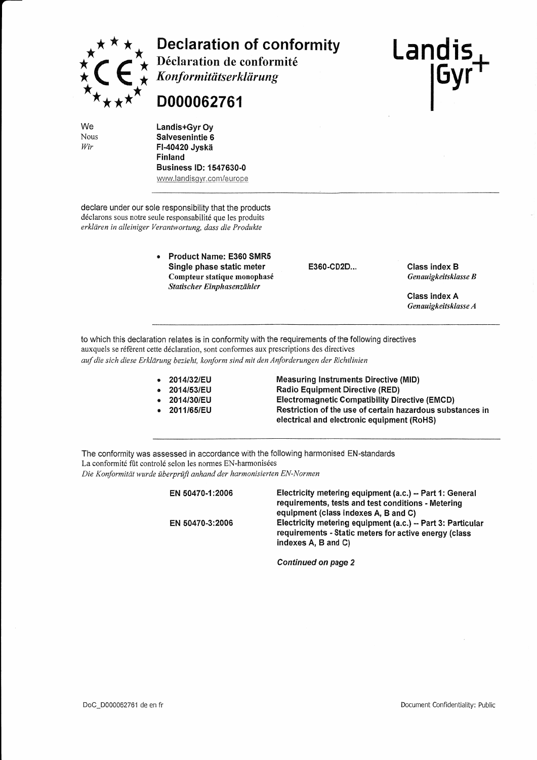

**Declaration of conformity** Déclaration de conformité

Konformitätserklärung

## D000062761

Landis+Gyr Ov Salvesenintie 6 FI-40420 Jvskä Finland **Business ID: 1547630-0** www.landisgyr.com/europe

declare under our sole responsibility that the products déclarons sous notre seule responsabilité que les produits erklären in alleiniger Verantwortung, dass die Produkte

> **Product Name: E360 SMR5** Single phase static meter Compteur statique monophasé Statischer Einphasenzähler

E360-CD2D...

**Class index B** Genauigkeitsklasse B

Landis

**IGyr** 

**Class index A** Genauigkeitsklasse A

to which this declaration relates is in conformity with the requirements of the following directives auxquels se réfèrent cette déclaration, sont conformes aux prescriptions des directives auf die sich diese Erklärung bezieht, konform sind mit den Anforderungen der Richtlinien

- 2014/32/EU
- 2014/53/EU
- 2014/30/EU
- 2011/65/EU

**Measuring Instruments Directive (MID) Radio Equipment Directive (RED) Electromagnetic Compatibility Directive (EMCD)** Restriction of the use of certain hazardous substances in electrical and electronic equipment (RoHS)

The conformity was assessed in accordance with the following harmonised EN-standards La conformité fût controlé selon les normes EN-harmonisées Die Konformität wurde überprüft anhand der harmonisierten EN-Normen

> Electricity metering equipment (a.c.) -- Part 1: General EN 50470-1:2006 requirements, tests and test conditions - Metering equipment (class indexes A, B and C) Electricity metering equipment (a.c.) - Part 3: Particular EN 50470-3:2006 requirements - Static meters for active energy (class indexes A, B and C)

> > **Continued on page 2**

We Nous Wir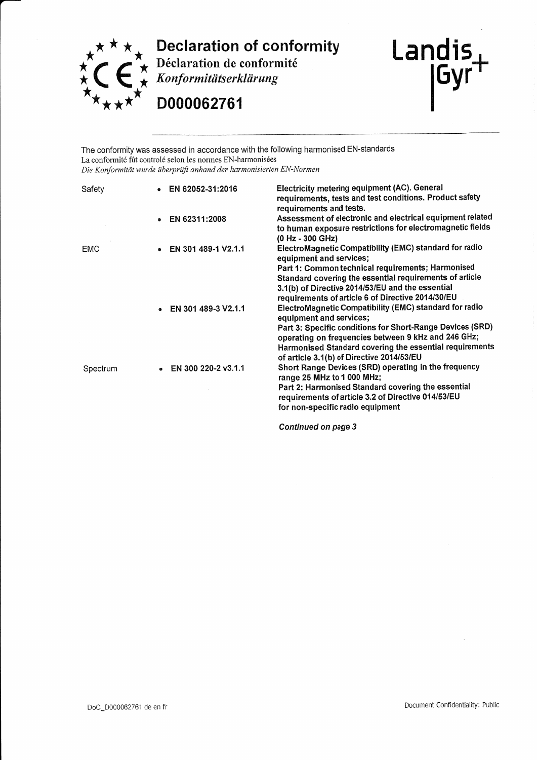

**Declaration of conformity**<br>  $\star$  Déclaration de conformité<br>  $\star$  *Konformitätserklärung* 

D000062761



The conformity was assessed in accordance with the following harmonised EN-standards La conformité fût controlé selon les normes EN-harmonisées Die Konformität wurde überprüft anhand der harmonisierten EN-Normen

| Safety     | EN 62052-31:2016      | Electricity metering equipment (AC). General<br>requirements, tests and test conditions. Product safety<br>requirements and tests.                                                                                                                                                                            |
|------------|-----------------------|---------------------------------------------------------------------------------------------------------------------------------------------------------------------------------------------------------------------------------------------------------------------------------------------------------------|
|            | EN 62311:2008         | Assessment of electronic and electrical equipment related<br>to human exposure restrictions for electromagnetic fields<br>(0 Hz - 300 GHz)                                                                                                                                                                    |
| <b>EMC</b> | EN 301 489-1 V2.1.1   | ElectroMagnetic Compatibility (EMC) standard for radio<br>equipment and services;<br>Part 1: Common technical requirements; Harmonised<br>Standard covering the essential requirements of article<br>3.1(b) of Directive 2014/53/EU and the essential<br>requirements of article 6 of Directive 2014/30/EU    |
|            | EN 301 489-3 V2.1.1   | ElectroMagnetic Compatibility (EMC) standard for radio<br>equipment and services;<br>Part 3: Specific conditions for Short-Range Devices (SRD)<br>operating on frequencies between 9 kHz and 246 GHz;<br>Harmonised Standard covering the essential requirements<br>of article 3.1(b) of Directive 2014/53/EU |
| Spectrum   | • EN 300 220-2 v3.1.1 | Short Range Devices (SRD) operating in the frequency<br>range 25 MHz to 1 000 MHz;<br>Part 2: Harmonised Standard covering the essential<br>requirements of article 3.2 of Directive 014/53/EU<br>for non-specific radio equipment                                                                            |
|            |                       |                                                                                                                                                                                                                                                                                                               |

Continued on page 3